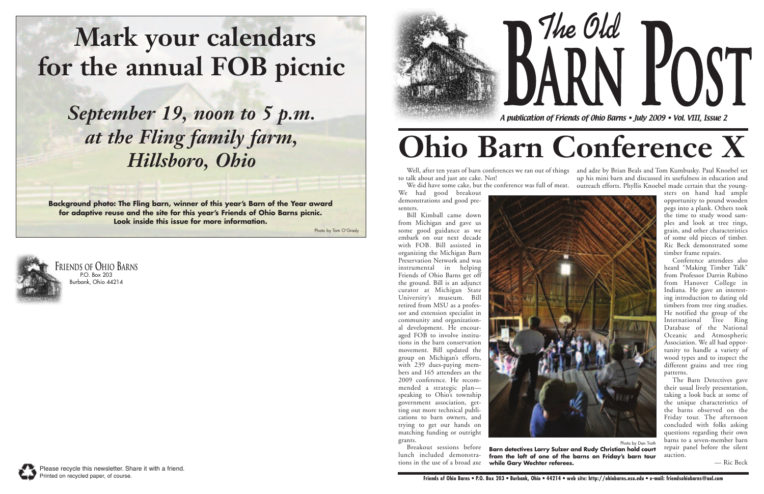*A publication of Friends of Ohio Barns • July 2009 • Vol. VIII, Issue 2*





## **Mark your calendars for the annual FOB picnic**

*September 19, noon to 5 p.m. at the Fling family farm, Hillsboro, Ohio*

**Background photo: The Fling barn, winner of this year's Barn of the Year award for adaptive reuse and the site for this year's Friends of Ohio Barns picnic. Look inside this issue for more information.**

**The Old** POST

Photo by Tom O'Grady

# **Ohio Barn Conference X**

We had good breakout demonstrations and good presenters.

Well, after ten years of barn conferences we ran out of things – and adze by Brian Beals and Tom Kumbusky. Paul Knoebel set to talk about and just ate cake. Not! We did have some cake, but the conference was full of meat. outreach efforts. Phyllis Knoebel made certain that the youngup his mini barn and discussed its usefulness in education and

Bill Kimball came down from Michigan and gave us some good guidance as we embark on our next decade with FOB. Bill assisted in organizing the Michigan Barn Preservation Network and was instrumental in helping Friends of Ohio Barns get off the ground. Bill is an adjunct curator at Michigan State University's museum. Bill retired from MSU as a professor and extension specialist in community and organizational development. He encouraged FOB to involve institutions in the barn conservation movement. Bill updated the group on Michigan's efforts, with 239 dues-paying members and 165 attendees an the 2009 conference. He recommended a strategic plan speaking to Ohio's township government association, getting out more technical publications to barn owners, and trying to get our hands on matching funding or outright grants.

Breakout sessions before lunch included demonstrations in the use of a broad axe

sters on hand had ample opportunity to pound wooden pegs into a plank. Others took the time to study wood samples and look at tree rings, grain, and other characteristics of some old pieces of timber. Ric Beck demonstrated some timber frame repairs.

Conference attendees also heard "Making Timber Talk" from Professor Darrin Rubino from Hanover College in Indiana. He gave an interesting introduction to dating old timbers from tree ring studies. He notified the group of the International Tree Ring Database of the National Oceanic and Atmospheric Association. We all had opportunity to handle a variety of wood types and to inspect the different grains and tree ring patterns.

The Barn Detectives gave their usual lively presentation, taking a look back at some of the unique characteristics of the barns observed on the Friday tour. The afternoon concluded with folks asking questions regarding their own barns to a seven-member barn repair panel before the silent auction.

— Ric Beck



Photo by Dan Troth **Barn detectives Larry Sulzer and Rudy Christian hold court from the loft of one of the barns on Friday's barn tour**

**while Gary Wechter referees.** 

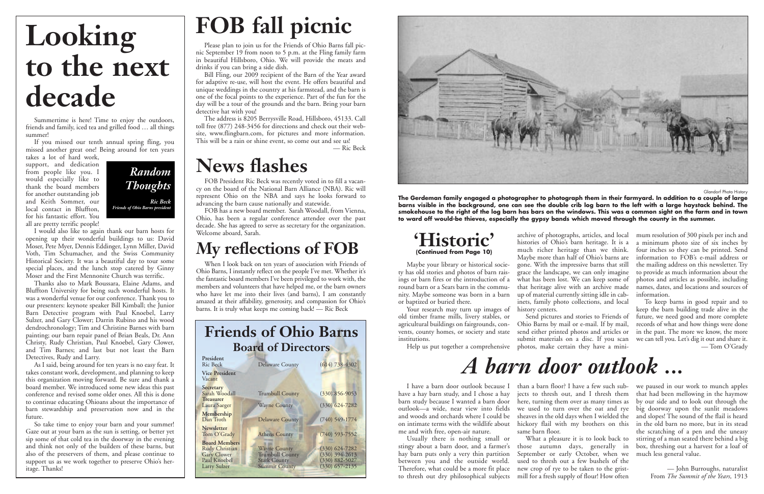Summertime is here! Time to enjoy the outdoors, friends and family, iced tea and grilled food ... all things summer!

If you missed our tenth annual spring fling, you missed another great one! Being around for ten years

takes a lot of hard work, support, and dedication from people like you. I would especially like to thank the board members for another outstanding job and Keith Sommer, our local contact in Bluffton, for his fantastic effort. You all are pretty terrific people!

I would also like to again thank our barn hosts for opening up their wonderful buildings to us: David Moser, Pete Myer, Dennis Eddinger, Lynn Miller, David Voth, Tim Schumacher, and the Swiss Community Historical Society. It was a beautiful day to tour some special places, and the lunch stop catered by Ginny Moser and the First Mennonite Church was terrific.

Thanks also to Mark Boussara, Elaine Adams, and Bluffton University for being such wonderful hosts. It was a wonderful venue for our conference. Thank you to our presenters: keynote speaker Bill Kimball; the Junior Barn Detective program with Paul Knoebel, Larry Sulzer, and Gary Clower; Darrin Rubino and his wood dendrochronology; Tim and Christine Barnes with barn painting; our barn repair panel of Brian Beals, Dr. Ann Christy, Rudy Christian, Paul Knoebel, Gary Clower, and Tim Barnes; and last but not least the Barn Detectives, Rudy and Larry.

#### **My reflections of FOB**  Welcome aboard, Sarah.<br>**My reflections of FOR Historic'**

As I said, being around for ten years is no easy feat. It takes constant work, development, and planning to keep this organization moving forward. Be sure and thank a board member. We introduced some new ideas this past conference and revised some older ones. All this is done to continue educating Ohioans about the importance of barn stewardship and preservation now and in the future.

So take time to enjoy your barn and your summer! Gaze out at your barn as the sun is setting, or better yet sip some of that cold tea in the doorway in the evening and think not only of the builders of these barns, but also of the preservers of them, and please continue to support us as we work together to preserve Ohio's heritage. Thanks!

#### **Friends of Ohio Barns Board of Directors**

| President<br><b>Ric Beck</b>                                                                               | Delaware County                                                                              | $(614) 738 - 4302$                                                             |
|------------------------------------------------------------------------------------------------------------|----------------------------------------------------------------------------------------------|--------------------------------------------------------------------------------|
| <b>Vice President</b><br>Vacant                                                                            |                                                                                              |                                                                                |
| Secretary<br>Sarah Woodall<br><b>Treasurer</b>                                                             | <b>Trumbull County</b>                                                                       | $(330)$ 856-9053                                                               |
| Laura Saeger                                                                                               | <b>Wayne County</b>                                                                          | $(330)$ $624 - 7282$                                                           |
| Membership<br>Dan Troth                                                                                    | Delaware County                                                                              | $(740)$ 549-1774                                                               |
| <b>Newsletter</b><br>Tom O'Grady                                                                           | <b>Athens County</b>                                                                         | $(740)$ 593-7552                                                               |
| <b>Board Members</b><br><b>Rudy Christian</b><br><b>Gary Clower</b><br>Paul Knoebel<br><b>Larry Sulzer</b> | <b>Wayne County</b><br><b>Trumbull County</b><br><b>Stark County</b><br><b>Summit County</b> | $(330)$ 624-7282<br>$(330)$ 394-2613<br>$(330) 882 - 5027$<br>$(330)$ 657-2135 |



Your research may turn up images of old timber frame mills, livery stables, or agricultural buildings on fairgrounds, convents, county homes, or society and state institutions.



When I look back on ten years of association with Friends of Ohio Barns, I instantly reflect on the people I've met. Whether it's the fantastic board members I've been privileged to work with, the members and volunteers that have helped me, or the barn owners who have let me into their lives (and barns), I am constantly amazed at their affability, generosity, and compassion for Ohio's barns. It is truly what keeps me coming back! — Ric Beck

### **FOB fall picnic**

Please plan to join us for the Friends of Ohio Barns fall picnic September 19 from noon to 5 p.m. at the Fling family farm in beautiful Hillsboro, Ohio. We will provide the meats and drinks if you can bring a side dish.

Bill Fling, our 2009 recipient of the Barn of the Year award for adaptive re-use, will host the event. He offers beautiful and unique weddings in the country at his farmstead, and the barn is one of the focal points to the experience. Part of the fun for the day will be a tour of the grounds and the barn. Bring your barn detective hat with you!

> I have a barn door outlook because I—than a barn floor? I have a few such sub-—we paused in our work to munch apples have a hay barn study, and I chose a hay ) jects to thresh out, and I thresh them ) that had been mellowing in the haymow barn study because I wanted a barn door here, turning them over as many times as by our side and to look out through the outlook—a wide, near view into fields we used to turn over the oat and rye big doorway upon the sunlit meadows and woods and orchards where I could be sheaves in the old days when I wielded the and slopes! The sound of the flail is heard on intimate terms with the wildlife about hickory flail with my brothers on this in the old barn no more, but in its stead same barn floor.

September or early October, when we used to thresh out a few bushels of the

The address is 8205 Berrysville Road, Hillsboro, 45133. Call toll free (877) 248-3456 for directions and check out their website, www.flingbarn.com, for pictures and more information. This will be a rain or shine event, so come out and see us!

— Ric Beck

# **Looking to the next decade**

#### **News flashes**

FOB President Ric Beck was recently voted in to fill a vacancy on the board of the National Barn Alliance (NBA). Ric will represent Ohio on the NBA and says he looks forward to advancing the barn cause nationally and statewide.

FOB has a new board member. Sarah Woodall, from Vienna, Ohio, has been a regular conference attendee over the past decade. She has agreed to serve as secretary for the organization.

### **(Continued from Page 10)**

Maybe your library or historical society has old stories and photos of barn raisings or barn fires or the introduction of a round barn or a Sears barn in the community. Maybe someone was born in a barn or baptized or buried there.

much richer heritage than we think. gone. With the impressive barns that still grace the landscape, we can only imagine what has been lost. We can keep some of that heritage alive with an archive made up of material currently sitting idle in cabinets, family photo collections, and local history centers.

Help us put together a comprehensive photos, make certain they have a mini-

archive of photographs, articles, and local mum resolution of 300 pixels per inch and histories of Ohio's barn heritage. It is a a minimum photo size of six inches by Maybe more than half of Ohio's barns are information to FOB's e-mail address or four inches so they can be printed. Send the mailing address on this newsletter. Try to provide as much information about the photos and articles as possible, including names, dates, and locations and sources of information.

Send pictures and stories to Friends of Ohio Barns by mail or e-mail. If by mail, send either printed photos and articles or submit materials on a disc. If you scan

To keep barns in good repair and to keep the barn building trade alive in the future, we need good and more complete records of what and how things were done in the past. The more we know, the more we can tell you. Let's dig it out and share it. — Tom O'Grady

Glandorf Photo History

**The Gerdeman family engaged a photographer to photograph them in their farmyard. In addition to a couple of large barns visible in the background, one can see the double crib log barn to the left with a large haystack behind. The smokehouse to the right of the log barn has bars on the windows. This was a common sight on the farm and in town to ward off would-be thieves, especially the gypsy bands which moved through the county in the summer.**

me and with free, open-air nature.

Usually there is nothing small or stingy about a barn door, and a farmer's those autumn days, generally in hay barn puts only a very thin partition between you and the outside world. Therefore, what could be a more fit place new crop of rye to be taken to the gristto thresh out dry philosophical subjects mill for a fresh supply of flour! How often

What a pleasure it is to look back to stirring of a man seated there behind a big the scratching of a pen and the uneasy box, threshing out a harvest for a loaf of much less general value.

> — John Burroughs, naturalist From *The Summit of the Years,* 1913

### *A barn door outlook ...*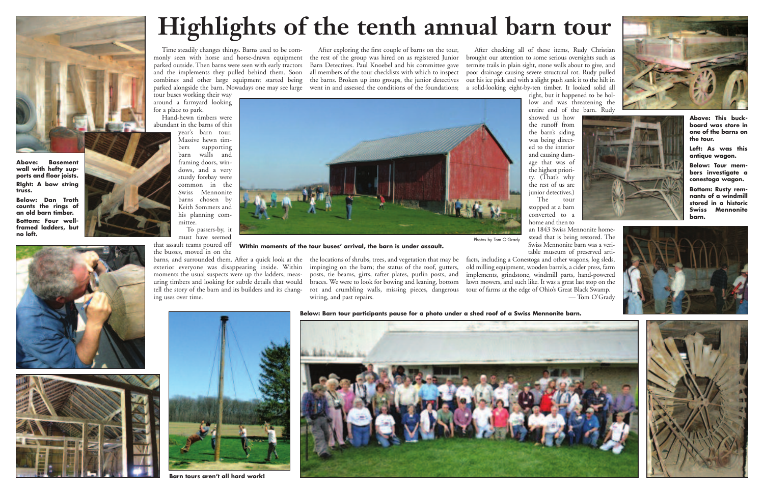tour buses working their way around a farmyard looking for a place to park.

Hand-hewn timbers were abundant in the barns of this

year's barn tour. Massive hewn timbers supporting barn walls and framing doors, windows, and a very sturdy forebay were common in the Swiss Mennonite barns chosen by Keith Sommers and his planning committee.

To passers-by, it must have seemed

the busses, moved in on the

moments the usual suspects were up the ladders, measuring timbers and looking for subtle details that would tell the story of the barn and its builders and its changing uses over time.

After exploring the first couple of barns on the tour, the rest of the group was hired on as registered Junior Barn Detectives. Paul Knoebel and his committee gave termite trails in plain sight, stone walls about to give, and all members of the tour checklists with which to inspect

parked alongside the barn. Nowadays one may see large went in and assessed the conditions of the foundations; a solid-looking eight-by-ten timber. It looked solid all After checking all of these items, Rudy Christian brought our attention to some serious oversights such as poor drainage causing severe structural rot. Rudy pulled out his ice pick and with a slight push sank it to the hilt in right, but it happened to be hollow and was threatening the entire end of the barn. Rudy

barns, and surrounded them. After a quick look at the the locations of shrubs, trees, and vegetation that may be exterior everyone was disappearing inside. Within impinging on the barn; the status of the roof, gutters, posts, tie beams, girts, rafter plates, purlin posts, and braces. We were to look for bowing and leaning, bottom rot and crumbling walls, missing pieces, dangerous wiring, and past repairs.

that assault teams poured off **Within moments of the tour buses' arrival, the barn is under assault.**

showed us how the runoff from the barn's siding was being directed to the interior and causing damage that was of the highest priority. (That's why the rest of us are junior detectives.) The tour stopped at a barn converted to a home and then to



an 1843 Swiss Mennonite homestead that is being restored. The Swiss Mennonite barn was a veritable museum of preserved artifacts, including a Conestoga and other wagons, log sleds, old milling equipment, wooden barrels, a cider press, farm implements, grindstone, windmill parts, hand-powered lawn mowers, and such like. It was a great last stop on the tour of farms at the edge of Ohio's Great Black Swamp. Photos by Tom O'Grady

— Tom O'Grady





## **Highlights of the tenth annual barn tour**

Time steadily changes things. Barns used to be commonly seen with horse and horse-drawn equipment parked outside. Then barns were seen with early tractors and the implements they pulled behind them. Soon combines and other large equipment started being the barns. Broken up into groups, the junior detectives



**Above: Basement wall with hefty supports and floor joists. RIght: A bow string truss.**

**Below: Dan Troth counts the rings of an old barn timber. Bottom: Four well-**

**framed ladders, but no loft.**

![](_page_2_Picture_4.jpeg)

![](_page_2_Picture_5.jpeg)

**Above: This buckboard was store in one of the barns on the tour.**

**Left: As was this antique wagon.**

**Below: Tour members investigate a conestoga wagon.**

**Bottom: Rusty remnants of a windmill stored in a historic Swiss Mennonite barn.**

**Below: Barn tour participants pause for a photo under a shed roof of a Swiss Mennonite barn.**

![](_page_2_Picture_22.jpeg)

![](_page_2_Picture_23.jpeg)

![](_page_2_Picture_24.jpeg)

![](_page_2_Picture_25.jpeg)

**Barn tours aren't all hard work!**

![](_page_2_Picture_16.jpeg)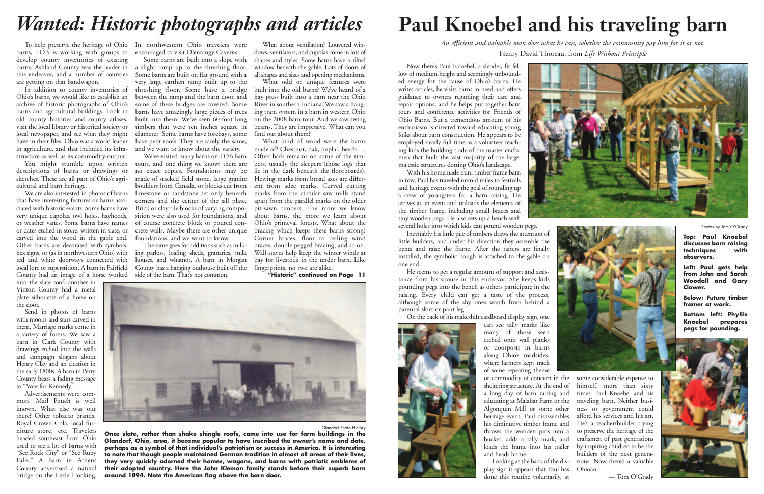barns, FOB is working with groups to develop county inventories of existing barns. Ashland County was the leader in this endeavor, and a number of counties are getting on that bandwagon.

Ohio's barns, we would like to establish an archive of historic photographs of Ohio's barns and agricultural buildings. Look in old county histories and county atlases, visit the local library or historical society or local newspaper, and see what they might have in their files. Ohio was a world leader in agriculture, and that included its infrastructure as well as its commodity output.

descriptions of barns or drawings or sketches. These are all part of Ohio's agricultural and barn heritage.

We are also interested in photos of barns that have interesting features or barns associated with historic events. Some barns have very unique cupolas, owl holes, hayhoods, or weather vanes. Some barns have names or dates etched in stone, written in slate, or carved into the wood in the gable end. Other barns are decorated with symbols, hex signs, or (as in northwestern Ohio) with ing parlors, loafing sheds, granaries, milk red and white doorways connected with local lore or superstition. A barn in Fairfield County had an image of a horse worked

To help preserve the heritage of Ohio In northwestern Ohio travelers were encouraged to visit Olentangy Caverns.

into the slate roof; another in Vinton County had a metal plate silhouette of a horse on the door.

In addition to county inventories of threshing floor. Some have a bridge Some barns are built into a slope with a slight ramp up to the threshing floor. Some barns are built on flat ground with a very large earthen ramp built up to the between the ramp and the barn door, and some of these bridges are covered. Some barns have amazingly large pieces of trees built into them. We've seen 60-foot long timbers that were ten inches square in diameter Some barns have forebays, some have pent roofs. They are rarely the same, and we want to know about the variety.

Send in photos of barns with moons and stars carved in them. Marriage marks come in a variety of forms. We saw a barn in Clark County with drawings etched into the walls and campaign slogans about Henry Clay and an election in the early 1800s. A barn in Perry County bears a fading message to "Vote for Kennedy."

Advertisements were common. Mail Pouch is well known. What else was out there? Other tobacco brands, Royal Crown Cola, local furniture store, etc. Travelers headed southeast from Ohio used to see a lot of barns with "See Rock City" or "See Ruby Falls." A barn in Athens County advertised a natural bridge on the Little Hocking.

You might stumble upon written tours, and one thing we know: there are We've visited many barns on FOB barn no exact copies. Foundations may be made of stacked field stone, large granite boulders from Canada, or blocks cut from limestone or sandstone set only beneath corners and the center of the sill plate. Brick or clay tile blocks of varying composition were also used for foundations, and of course concrete block or poured concrete walls. Maybe there are other unique foundations, and we want to know.

What odd or unique features were built into the old barns? We've heard of a hay press built into a barn near the Ohio River in southern Indiana. We saw a hanging tram system in a barn in western Ohio on the 2008 barn tour. And we saw swing beams. They are impressive. What can you find out about them?

The same goes for additions such as milkhouses, and whatnot. A barn in Morgan County has a hanging outhouse built off the side of the barn. That's not common.

What about ventilation? Louvered windows, ventilators, and cupolas come in lots of shapes and styles. Some barns have a tilted window beneath the gable. Lots of doors of all shapes and sizes and opening mechanisms.

What kind of wood were the barns made of? Chestnut, oak, poplar, beech … Often bark remains on some of the timbers, usually the sleepers (those logs that lie in the dark beneath the floorboards). Hewing marks from broad axes are different from adze marks. Curved cutting marks from the circular saw mills stand apart from the parallel marks on the older pit-sawn timbers. The more we know about barns, the more we learn about Ohio's primeval forests. What about the bracing which keeps these barns strong? Corner braces, floor to ceiling wind braces, double pegged bracing, and so on. Wall staves help keep the winter winds at bay for livestock in the under barn. Like fingerprints, no two are alike.

**"Historic" continued on Page 11**

![](_page_3_Picture_16.jpeg)

Now there's Paul Knoebel, a slender, fit fellow of medium height and seemingly unbounded energy for the cause of Ohio's barns. He writes articles, he visits barns in need and offers guidance to owners regarding their care and repair options, and he helps put together barn tours and conference activities for Friends of Ohio Barns. But a tremendous amount of his enthusiasm is directed toward educating young folks about barn construction. He appears to be employed nearly full time as a volunteer teaching kids the building trade of the master craftsmen that built the vast majority of the large, majestic structures dotting Ohio's landscape.

With his homemade mini timber frame barn in tow, Paul has traveled untold miles to festivals and heritage events with the goal of rounding up a crew of youngsters for a barn raising. He arrives at an event and unloads the elements of the timber frame, including small braces and tiny wooden pegs. He also sets up a bench with several holes into which kids can pound wooden pegs.

Inevitably his little pile of timbers draws the attention of little builders, and under his direction they assemble the bents and raise the frame. After the rafters are finally installed, the symbolic bough is attached to the gable on one end.

He seems to get a regular amount of support and assistance from his spouse in this endeavor. She keeps kids pounding pegs into the bench as others participate in the raising. Every child can get a taste of the process, although some of the shy ones watch from behind a parental skirt or pant leg.

On the back of his makeshift cardboard display sign, one

![](_page_3_Picture_26.jpeg)

can see tally marks like many of those seen etched onto wall planks or doorposts in barns along Ohio's roadsides, where farmers kept track of some repeating theme

or commodity of concern in the sheltering structure. At the end of a long day of barn raising and educating at Malabar Farm or the Algonquin Mill or some other heritage event, Paul disassembles his diminutive timber frame and throws the wooden pins into a bucket, adds a tally mark, and loads the frame into his trailer and heads home.

Looking at the back of the display sign it appears that Paul has done this routine voluntarily, at

![](_page_3_Picture_30.jpeg)

![](_page_3_Picture_31.jpeg)

![](_page_3_Picture_32.jpeg)

some considerable expense to himself, more than sixty times. Paul Knoebel and his traveling barn. Neither business or government could afford his services and his art. He's a teacher/builder trying to preserve the heritage of the craftsmen of past generations by inspiring children to be the builders of the next generations. Now there's a valuable Ohioan.

— Tom O'Grady

![](_page_3_Picture_41.jpeg)

#### *Wanted: Historic photographs and articles*

Glandorf Photo History

**Once slate, rather than shake shingle roofs, came into use for farm buildings in the Glandorf, Ohio, area, it became popular to have inscribed the owner's name and date, perhaps as a symbol of that individual's patriotism or success in America. It is interesting to note that though people maintained German tradition in almost all areas of their lives, they very quickly adorned their homes, wagons, and barns with patriotic emblems of their adopted country. Here the John Kleman family stands before their superb barn around 1894. Note the American flag above the barn door.**

### **Paul Knoebel and his traveling barn**

*An efficient and valuable man does what he can, whether the community pay him for it or not.* Henry David Thoreau, from *Life Without Principle*

Photos by Tom O'Grady

**Top: Paul Knoebel discusses barn raising techniques with observers.**

**Left: Paul gets help from John and Sarah Woodall and Gary Clower.**

**Below: Future timber framer at work.**

**Bottom left: Phyllis Knoebel prepares pegs for pounding.**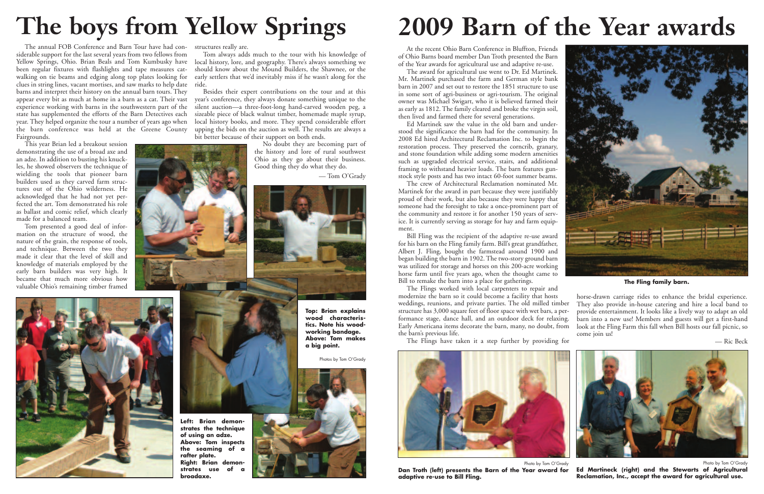The annual FOB Conference and Barn Tour have had considerable support for the last several years from two fellows from been regular fixtures with flashlights and tape measures catwalking on tie beams and edging along top plates looking for clues in string lines, vacant mortises, and saw marks to help date barns and interpret their history on the annual barn tours. They appear every bit as much at home in a barn as a cat. Their vast experience working with barns in the southwestern part of the state has supplemented the efforts of the Barn Detectives each year. They helped organize the tour a number of years ago when the barn conference was held at the Greene County Fairgrounds.

Yellow Springs, Ohio. Brian Beals and Tom Kumbusky have local history, lore, and geography. There's always something we Tom always adds much to the tour with his knowledge of should know about the Mound Builders, the Shawnee, or the early settlers that we'd inevitably miss if he wasn't along for the ride.

This year Brian led a breakout session demonstrating the use of a broad axe and an adze. In addition to busting his knuckles, he showed observers the technique of wielding the tools that pioneer barn builders used as they carved farm structures out of the Ohio wilderness. He acknowledged that he had not yet perfected the art. Tom demonstrated his role as ballast and comic relief, which clearly made for a balanced team.

Tom presented a good deal of information on the structure of wood, the nature of the grain, the response of tools, and technique. Between the two they made it clear that the level of skill and knowledge of materials employed by the early barn builders was very high. It became that much more obvious how valuable Ohio's remaining timber framed

structures really are.

Besides their expert contributions on the tour and at this year's conference, they always donate something unique to the silent auction—a three-foot-long hand-carved wooden peg, a sizeable piece of black walnut timber, homemade maple syrup, local history books, and more. They spend considerable effort upping the bids on the auction as well. The results are always a bit better because of their support on both ends.

> No doubt they are becoming part of the history and lore of rural southwest Ohio as they go about their business. Good thing they do what they do.

> > — Tom O'Grady

![](_page_4_Picture_9.jpeg)

![](_page_4_Picture_10.jpeg)

![](_page_4_Picture_11.jpeg)

## **The boys from Yellow Springs**

**Top: Brian explains wood characteristics. Note his woodworking bandage. Above: Tom makes a big point.**

horse-drawn carriage rides to enhance the bridal experience. They also provide in-house catering and hire a local band to provide entertainment. It looks like a lively way to adapt an old barn into a new use! Members and guests will get a first-hand look at the Fling Farm this fall when Bill hosts our fall picnic, so come join us!

Photos by Tom O'Grady

![](_page_4_Picture_15.jpeg)

**Left: Brian demonstrates the technique of using an adze. Above: Tom inspects the seaming of a rafter plate. Right: Brian demon**strates use of **broadaxe.**

At the recent Ohio Barn Conference in Bluffton, Friends of Ohio Barns board member Dan Troth presented the Barn of the Year awards for agricultural use and adaptive re-use.

The award for agricultural use went to Dr. Ed Martinek. Mr. Martinek purchased the farm and German style bank barn in 2007 and set out to restore the 1851 structure to use in some sort of agri-business or agri-tourism. The original owner was Michael Swigart, who it is believed farmed their as early as 1812. The family cleared and broke the virgin soil, then lived and farmed there for several generations.

Ed Martinek saw the value in the old barn and understood the significance the barn had for the community. In 2008 Ed hired Architectural Reclamation Inc. to begin the restoration process. They preserved the corncrib, granary, and stone foundation while adding some modern amenities such as upgraded electrical service, stairs, and additional framing to withstand heavier loads. The barn features gunstock style posts and has two intact 60-foot summer beams.

The crew of Architectural Reclamation nominated Mr. Martinek for the award in part because they were justifiably proud of their work, but also because they were happy that someone had the foresight to take a once-prominent part of the community and restore it for another 150 years of service. It is currently serving as storage for hay and farm equipment.

Bill Fling was the recipient of the adaptive re-use award for his barn on the Fling family farm. Bill's great grandfather, Albert J. Fling, bought the farmstead around 1900 and began building the barn in 1902. The two-story ground barn was utilized for storage and horses on this 200-acre working horse farm until five years ago, when the thought came to Bill to remake the barn into a place for gatherings.

The Flings worked with local carpenters to repair and modernize the barn so it could become a facility that hosts weddings, reunions, and private parties. The old milled timber structure has 3,000 square feet of floor space with wet bars, a performance stage, dance hall, and an outdoor deck for relaxing. Early Americana items decorate the barn, many, no doubt, from the barn's previous life.

The Flings have taken it a step further by providing for

— Ric Beck

## **2009 Barn of the Year awards**

![](_page_4_Picture_26.jpeg)

**The Fling family barn.**

![](_page_4_Picture_24.jpeg)

Photo by Tom O'Grady **Dan Troth (left) presents the Barn of the Year award for adaptive re-use to Bill Fling.**

Photo by Tom O'Grady **Ed Martineck (right) and the Stewarts of Agricultural Reclamation, Inc., accept the award for agricultural use.**